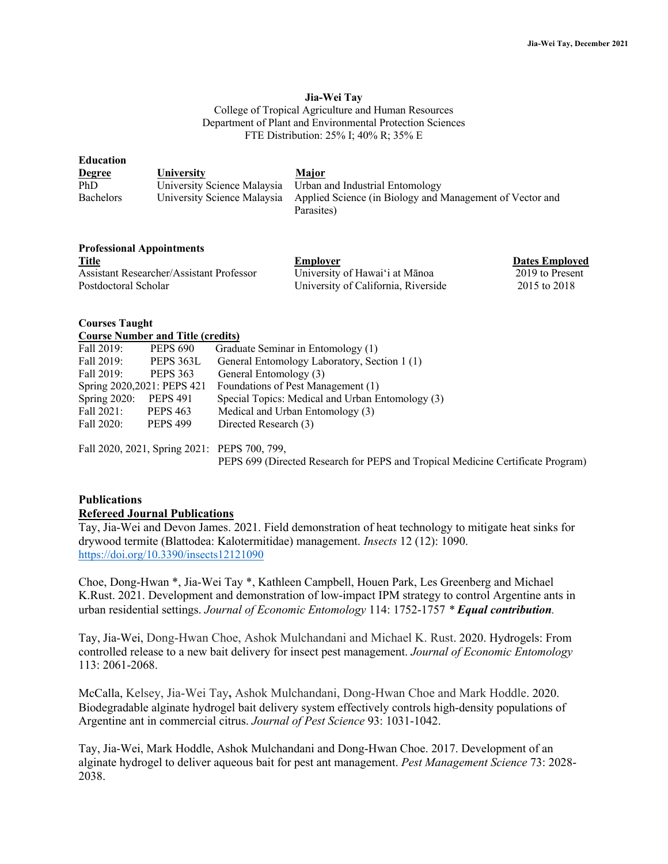#### **Jia-Wei Tay**

College of Tropical Agriculture and Human Resources Department of Plant and Environmental Protection Sciences FTE Distribution: 25% I; 40% R; 35% E

| <b>Education</b> |                   |                                                                                      |
|------------------|-------------------|--------------------------------------------------------------------------------------|
| <b>Degree</b>    | <b>University</b> | Major                                                                                |
| PhD              |                   | University Science Malaysia Urban and Industrial Entomology                          |
| <b>Bachelors</b> |                   | University Science Malaysia Applied Science (in Biology and Management of Vector and |
|                  |                   | Parasites)                                                                           |

## **Professional Appointments**

| Title<br>___                             | Employer                            | <b>Dates Employed</b> |
|------------------------------------------|-------------------------------------|-----------------------|
| Assistant Researcher/Assistant Professor | University of Hawai'i at Mānoa      | 2019 to Present       |
| Postdoctoral Scholar                     | University of California, Riverside | 2015 to 2018          |

#### **Courses Taught Course Number and Title (credits)**

| Course infinition and True (credits)         |                 |                                                  |  |  |
|----------------------------------------------|-----------------|--------------------------------------------------|--|--|
| Fall 2019:                                   | <b>PEPS 690</b> | Graduate Seminar in Entomology (1)               |  |  |
| Fall 2019:                                   | PEPS 363L       | General Entomology Laboratory, Section 1 (1)     |  |  |
| Fall 2019:                                   | <b>PEPS 363</b> | General Entomology (3)                           |  |  |
| Spring 2020, 2021: PEPS 421                  |                 | Foundations of Pest Management (1)               |  |  |
| Spring $2020$ :                              | <b>PEPS 491</b> | Special Topics: Medical and Urban Entomology (3) |  |  |
| Fall 2021:                                   | <b>PEPS 463</b> | Medical and Urban Entomology (3)                 |  |  |
| Fall 2020:                                   | <b>PEPS 499</b> | Directed Research (3)                            |  |  |
|                                              |                 |                                                  |  |  |
| Fall 2020, 2021, Spring 2021: PEPS 700, 799, |                 |                                                  |  |  |

PEPS 699 (Directed Research for PEPS and Tropical Medicine Certificate Program)

# **Publications**

#### **Refereed Journal Publications**

Tay, Jia-Wei and Devon James. 2021. Field demonstration of heat technology to mitigate heat sinks for drywood termite (Blattodea: Kalotermitidae) management. *Insects* 12 (12): 1090. https://doi.org/10.3390/insects12121090

Choe, Dong-Hwan \*, Jia-Wei Tay \*, Kathleen Campbell, Houen Park, Les Greenberg and Michael K.Rust. 2021. Development and demonstration of low-impact IPM strategy to control Argentine ants in urban residential settings. *Journal of Economic Entomology* 114: 1752-1757 *\* Equal contribution.*

Tay, Jia-Wei, Dong-Hwan Choe, Ashok Mulchandani and Michael K. Rust. 2020. Hydrogels: From controlled release to a new bait delivery for insect pest management. *Journal of Economic Entomology*  113: 2061-2068.

McCalla, Kelsey, Jia-Wei Tay**,** Ashok Mulchandani, Dong-Hwan Choe and Mark Hoddle. 2020. Biodegradable alginate hydrogel bait delivery system effectively controls high-density populations of Argentine ant in commercial citrus. *Journal of Pest Science* 93: 1031-1042.

Tay, Jia-Wei, Mark Hoddle, Ashok Mulchandani and Dong-Hwan Choe. 2017. Development of an alginate hydrogel to deliver aqueous bait for pest ant management. *Pest Management Science* 73: 2028- 2038.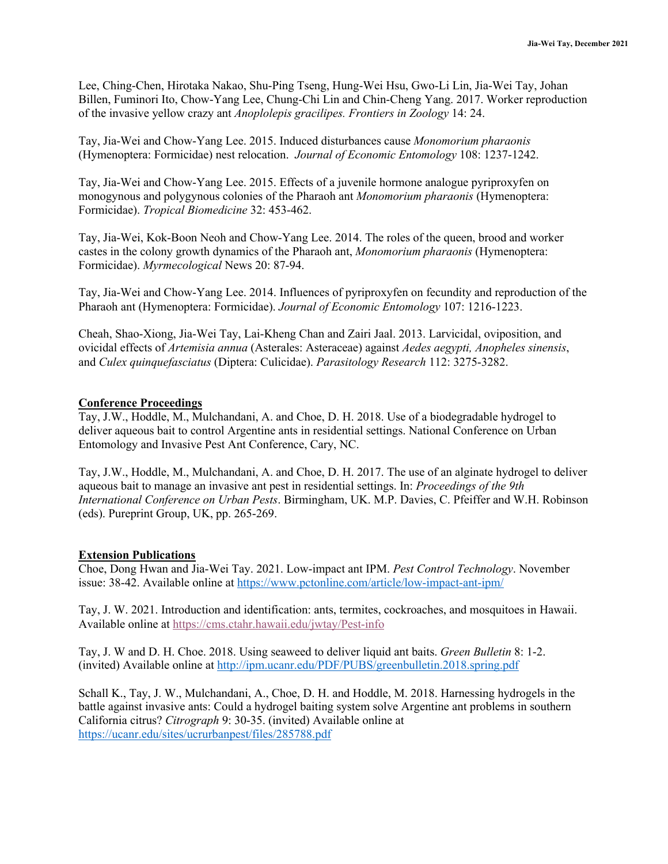Lee, Ching-Chen, Hirotaka Nakao, Shu-Ping Tseng, Hung-Wei Hsu, Gwo-Li Lin, Jia-Wei Tay, Johan Billen, Fuminori Ito, Chow-Yang Lee, Chung-Chi Lin and Chin-Cheng Yang. 2017. Worker reproduction of the invasive yellow crazy ant *Anoplolepis gracilipes. Frontiers in Zoology* 14: 24.

Tay, Jia-Wei and Chow-Yang Lee. 2015. Induced disturbances cause *Monomorium pharaonis* (Hymenoptera: Formicidae) nest relocation. *Journal of Economic Entomology* 108: 1237-1242.

Tay, Jia-Wei and Chow-Yang Lee. 2015. Effects of a juvenile hormone analogue pyriproxyfen on monogynous and polygynous colonies of the Pharaoh ant *Monomorium pharaonis* (Hymenoptera: Formicidae). *Tropical Biomedicine* 32: 453-462.

Tay, Jia-Wei, Kok-Boon Neoh and Chow-Yang Lee. 2014. The roles of the queen, brood and worker castes in the colony growth dynamics of the Pharaoh ant, *Monomorium pharaonis* (Hymenoptera: Formicidae). *Myrmecological* News 20: 87-94.

Tay, Jia-Wei and Chow-Yang Lee. 2014. Influences of pyriproxyfen on fecundity and reproduction of the Pharaoh ant (Hymenoptera: Formicidae). *Journal of Economic Entomology* 107: 1216-1223.

Cheah, Shao-Xiong, Jia-Wei Tay, Lai-Kheng Chan and Zairi Jaal. 2013. Larvicidal, oviposition, and ovicidal effects of *Artemisia annua* (Asterales: Asteraceae) against *Aedes aegypti, Anopheles sinensis*, and *Culex quinquefasciatus* (Diptera: Culicidae). *Parasitology Research* 112: 3275-3282.

# **Conference Proceedings**

Tay, J.W., Hoddle, M., Mulchandani, A. and Choe, D. H. 2018. Use of a biodegradable hydrogel to deliver aqueous bait to control Argentine ants in residential settings. National Conference on Urban Entomology and Invasive Pest Ant Conference, Cary, NC.

Tay, J.W., Hoddle, M., Mulchandani, A. and Choe, D. H. 2017. The use of an alginate hydrogel to deliver aqueous bait to manage an invasive ant pest in residential settings. In: *Proceedings of the 9th International Conference on Urban Pests*. Birmingham, UK. M.P. Davies, C. Pfeiffer and W.H. Robinson (eds). Pureprint Group, UK, pp. 265-269.

# **Extension Publications**

Choe, Dong Hwan and Jia-Wei Tay. 2021. Low-impact ant IPM. *Pest Control Technology*. November issue: 38-42. Available online at https://www.pctonline.com/article/low-impact-ant-ipm/

Tay, J. W. 2021. Introduction and identification: ants, termites, cockroaches, and mosquitoes in Hawaii. Available online at https://cms.ctahr.hawaii.edu/jwtay/Pest-info

Tay, J. W and D. H. Choe. 2018. Using seaweed to deliver liquid ant baits. *Green Bulletin* 8: 1-2. (invited) Available online at http://ipm.ucanr.edu/PDF/PUBS/greenbulletin.2018.spring.pdf

Schall K., Tay, J. W., Mulchandani, A., Choe, D. H. and Hoddle, M. 2018. Harnessing hydrogels in the battle against invasive ants: Could a hydrogel baiting system solve Argentine ant problems in southern California citrus? *Citrograph* 9: 30-35. (invited) Available online at https://ucanr.edu/sites/ucrurbanpest/files/285788.pdf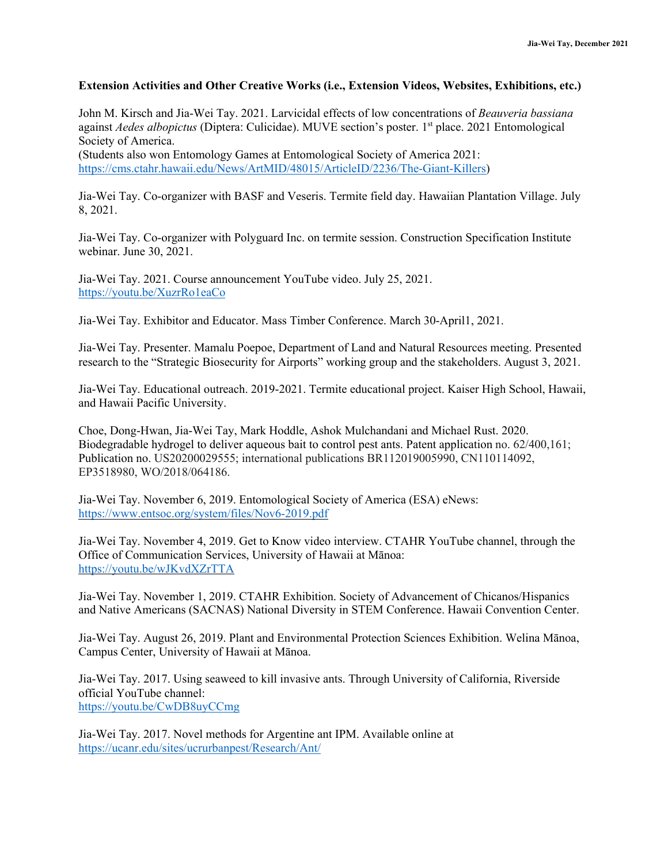## **Extension Activities and Other Creative Works (i.e., Extension Videos, Websites, Exhibitions, etc.)**

John M. Kirsch and Jia-Wei Tay. 2021. Larvicidal effects of low concentrations of *Beauveria bassiana* against *Aedes albopictus* (Diptera: Culicidae). MUVE section's poster. 1<sup>st</sup> place. 2021 Entomological Society of America. (Students also won Entomology Games at Entomological Society of America 2021: https://cms.ctahr.hawaii.edu/News/ArtMID/48015/ArticleID/2236/The-Giant-Killers)

Jia-Wei Tay. Co-organizer with BASF and Veseris. Termite field day. Hawaiian Plantation Village. July 8, 2021.

Jia-Wei Tay. Co-organizer with Polyguard Inc. on termite session. Construction Specification Institute webinar. June 30, 2021.

Jia-Wei Tay. 2021. Course announcement YouTube video. July 25, 2021. https://youtu.be/XuzrRo1eaCo

Jia-Wei Tay. Exhibitor and Educator. Mass Timber Conference. March 30-April1, 2021.

Jia-Wei Tay. Presenter. Mamalu Poepoe, Department of Land and Natural Resources meeting. Presented research to the "Strategic Biosecurity for Airports" working group and the stakeholders. August 3, 2021.

Jia-Wei Tay. Educational outreach. 2019-2021. Termite educational project. Kaiser High School, Hawaii, and Hawaii Pacific University.

Choe, Dong-Hwan, Jia-Wei Tay, Mark Hoddle, Ashok Mulchandani and Michael Rust. 2020. Biodegradable hydrogel to deliver aqueous bait to control pest ants. Patent application no. 62/400,161; Publication no. US20200029555; international publications BR112019005990, CN110114092, EP3518980, WO/2018/064186.

Jia-Wei Tay. November 6, 2019. Entomological Society of America (ESA) eNews: https://www.entsoc.org/system/files/Nov6-2019.pdf

Jia-Wei Tay. November 4, 2019. Get to Know video interview. CTAHR YouTube channel, through the Office of Communication Services, University of Hawaii at Mānoa: https://youtu.be/wJKvdXZrTTA

Jia-Wei Tay. November 1, 2019. CTAHR Exhibition. Society of Advancement of Chicanos/Hispanics and Native Americans (SACNAS) National Diversity in STEM Conference. Hawaii Convention Center.

Jia-Wei Tay. August 26, 2019. Plant and Environmental Protection Sciences Exhibition. Welina Mānoa, Campus Center, University of Hawaii at Mānoa.

Jia-Wei Tay. 2017. Using seaweed to kill invasive ants. Through University of California, Riverside official YouTube channel: https://youtu.be/CwDB8uyCCmg

Jia-Wei Tay. 2017. Novel methods for Argentine ant IPM. Available online at https://ucanr.edu/sites/ucrurbanpest/Research/Ant/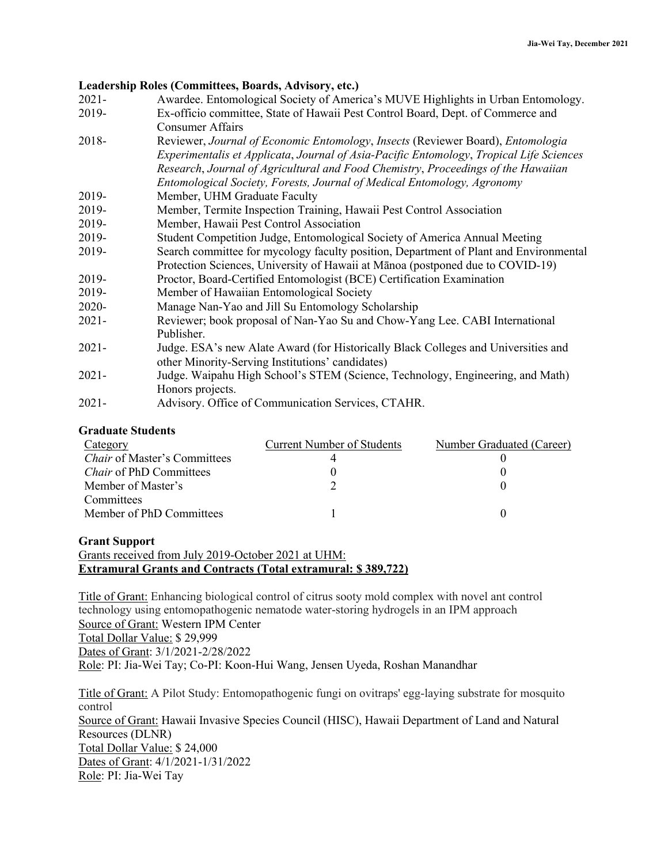## **Leadership Roles (Committees, Boards, Advisory, etc.)**

- 2021- Awardee. Entomological Society of America's MUVE Highlights in Urban Entomology. 2019- Ex-officio committee, State of Hawaii Pest Control Board, Dept. of Commerce and
- Consumer Affairs 2018- Reviewer, *Journal of Economic Entomology*, *Insects* (Reviewer Board), *Entomologia Experimentalis et Applicata*, *Journal of Asia-Pacific Entomology*, *Tropical Life Sciences Research*, *Journal of Agricultural and Food Chemistry*, *Proceedings of the Hawaiian Entomological Society, Forests, Journal of Medical Entomology, Agronomy*
- 2019- Member, UHM Graduate Faculty
- 2019- Member, Termite Inspection Training, Hawaii Pest Control Association
- 2019- Member, Hawaii Pest Control Association
- 2019- Student Competition Judge, Entomological Society of America Annual Meeting
- 2019- Search committee for mycology faculty position, Department of Plant and Environmental Protection Sciences, University of Hawaii at Mānoa (postponed due to COVID-19)
- 2019- Proctor, Board-Certified Entomologist (BCE) Certification Examination
- 2019- Member of Hawaiian Entomological Society
- 2020- Manage Nan-Yao and Jill Su Entomology Scholarship
- 2021- Reviewer; book proposal of Nan-Yao Su and Chow-Yang Lee. CABI International Publisher.
- 2021- Judge. ESA's new Alate Award (for Historically Black Colleges and Universities and other Minority-Serving Institutions' candidates)
- 2021- Judge. Waipahu High School's STEM (Science, Technology, Engineering, and Math) Honors projects.
- 2021- Advisory. Office of Communication Services, CTAHR.

## **Graduate Students**

| Category                            | <b>Current Number of Students</b> | Number Graduated (Career) |
|-------------------------------------|-----------------------------------|---------------------------|
| <i>Chair</i> of Master's Committees |                                   |                           |
| <i>Chair</i> of PhD Committees      |                                   |                           |
| Member of Master's                  |                                   |                           |
| Committees                          |                                   |                           |
| Member of PhD Committees            |                                   |                           |

### **Grant Support**

Grants received from July 2019-October 2021 at UHM: **Extramural Grants and Contracts (Total extramural: \$ 389,722)**

Title of Grant: Enhancing biological control of citrus sooty mold complex with novel ant control technology using entomopathogenic nematode water-storing hydrogels in an IPM approach Source of Grant: Western IPM Center Total Dollar Value: \$ 29,999 Dates of Grant: 3/1/2021-2/28/2022 Role: PI: Jia-Wei Tay; Co-PI: Koon-Hui Wang, Jensen Uyeda, Roshan Manandhar

Title of Grant: A Pilot Study: Entomopathogenic fungi on ovitraps' egg-laying substrate for mosquito control Source of Grant: Hawaii Invasive Species Council (HISC), Hawaii Department of Land and Natural Resources (DLNR) Total Dollar Value: \$ 24,000 Dates of Grant: 4/1/2021-1/31/2022 Role: PI: Jia-Wei Tay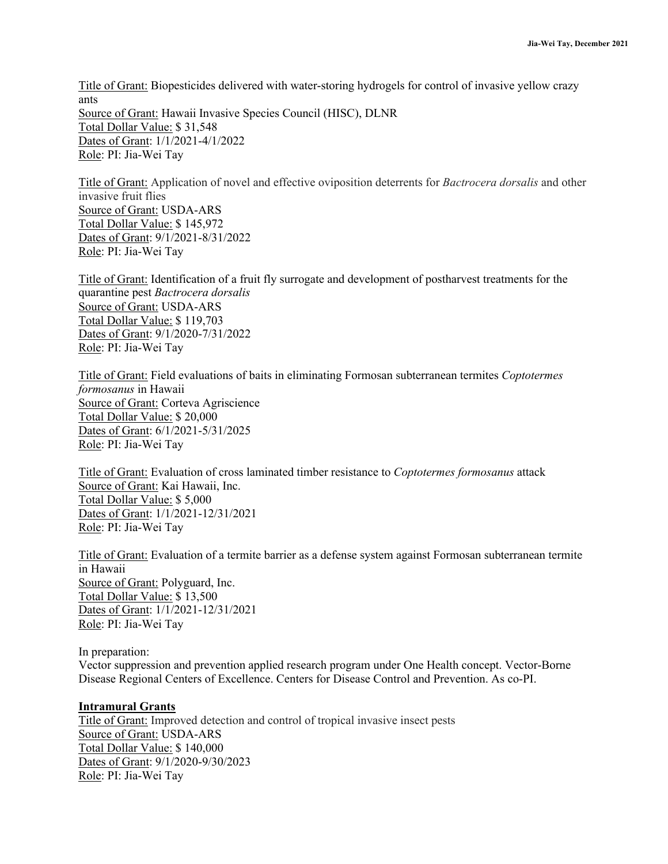Title of Grant: Biopesticides delivered with water-storing hydrogels for control of invasive yellow crazy ants Source of Grant: Hawaii Invasive Species Council (HISC), DLNR Total Dollar Value: \$ 31,548 Dates of Grant: 1/1/2021-4/1/2022 Role: PI: Jia-Wei Tay

Title of Grant: Application of novel and effective oviposition deterrents for *Bactrocera dorsalis* and other invasive fruit flies Source of Grant: USDA-ARS Total Dollar Value: \$ 145,972 Dates of Grant: 9/1/2021-8/31/2022 Role: PI: Jia-Wei Tay

Title of Grant: Identification of a fruit fly surrogate and development of postharvest treatments for the quarantine pest *Bactrocera dorsalis* Source of Grant: USDA-ARS Total Dollar Value: \$ 119,703 Dates of Grant: 9/1/2020-7/31/2022 Role: PI: Jia-Wei Tay

Title of Grant: Field evaluations of baits in eliminating Formosan subterranean termites *Coptotermes formosanus* in Hawaii Source of Grant: Corteva Agriscience Total Dollar Value: \$ 20,000 Dates of Grant: 6/1/2021-5/31/2025 Role: PI: Jia-Wei Tay

Title of Grant: Evaluation of cross laminated timber resistance to *Coptotermes formosanus* attack Source of Grant: Kai Hawaii, Inc. Total Dollar Value: \$ 5,000 Dates of Grant: 1/1/2021-12/31/2021 Role: PI: Jia-Wei Tay

Title of Grant: Evaluation of a termite barrier as a defense system against Formosan subterranean termite in Hawaii Source of Grant: Polyguard, Inc. Total Dollar Value: \$ 13,500 Dates of Grant: 1/1/2021-12/31/2021 Role: PI: Jia-Wei Tay

In preparation:

Vector suppression and prevention applied research program under One Health concept. Vector-Borne Disease Regional Centers of Excellence. Centers for Disease Control and Prevention. As co-PI.

### **Intramural Grants**

Title of Grant: Improved detection and control of tropical invasive insect pests Source of Grant: USDA-ARS Total Dollar Value: \$ 140,000 Dates of Grant: 9/1/2020-9/30/2023 Role: PI: Jia-Wei Tay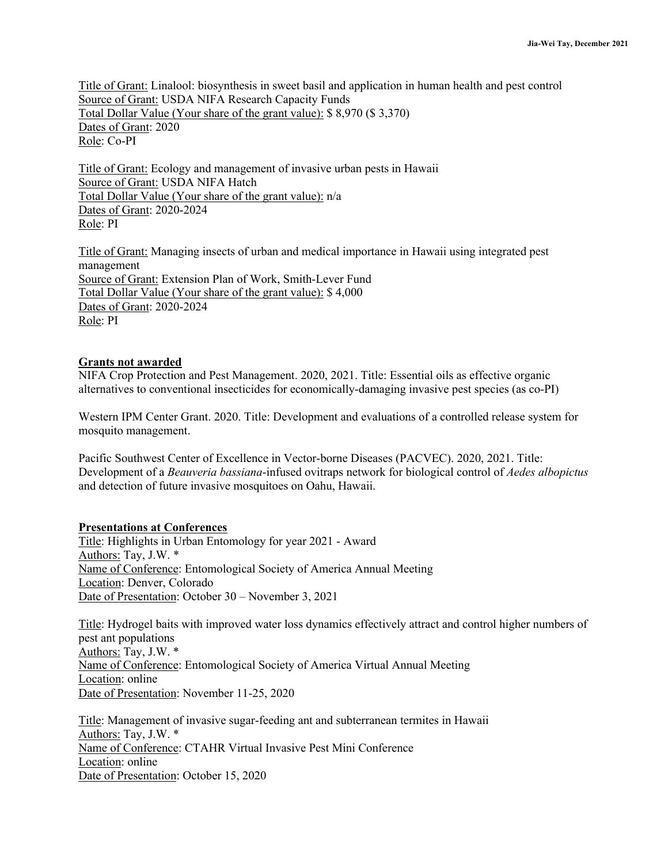Title of Grant: Linalool: biosynthesis in sweet basil and application in human health and pest control Source of Grant: USDA NIFA Research Capacity Funds Total Dollar Value (Your share of the grant value): \$ 8,970 (\$ 3,370) Dates of Grant: 2020 Role: Co-PI

Title of Grant: Ecology and management of invasive urban pests in Hawaii Source of Grant: USDA NIFA Hatch Total Dollar Value (Your share of the grant value): n/a Dates of Grant: 2020-2024 Role: PI

Title of Grant: Managing insects of urban and medical importance in Hawaii using integrated pest management Source of Grant: Extension Plan of Work, Smith-Lever Fund Total Dollar Value (Your share of the grant value): \$ 4,000 Dates of Grant: 2020-2024 Role: PI

# **Grants not awarded**

NIFA Crop Protection and Pest Management. 2020, 2021. Title: Essential oils as effective organic alternatives to conventional insecticides for economically-damaging invasive pest species (as co-PI)

Western IPM Center Grant. 2020. Title: Development and evaluations of a controlled release system for mosquito management.

Pacific Southwest Center of Excellence in Vector-borne Diseases (PACVEC). 2020, 2021. Title: Development of a *Beauveria bassiana*-infused ovitraps network for biological control of *Aedes albopictus* and detection of future invasive mosquitoes on Oahu, Hawaii.

# **Presentations at Conferences**

Title: Highlights in Urban Entomology for year 2021 - Award Authors: Tay, J.W. \* Name of Conference: Entomological Society of America Annual Meeting Location: Denver, Colorado Date of Presentation: October 30 – November 3, 2021

Title: Hydrogel baits with improved water loss dynamics effectively attract and control higher numbers of pest ant populations Authors: Tay, J.W. \* Name of Conference: Entomological Society of America Virtual Annual Meeting Location: online Date of Presentation: November 11-25, 2020

Title: Management of invasive sugar-feeding ant and subterranean termites in Hawaii Authors: Tay, J.W. \* Name of Conference: CTAHR Virtual Invasive Pest Mini Conference Location: online Date of Presentation: October 15, 2020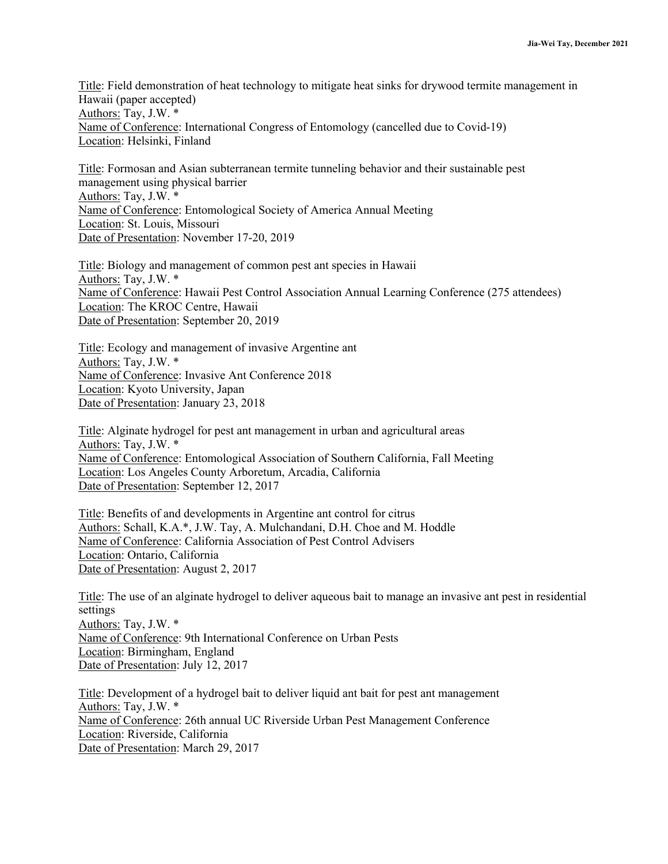Title: Field demonstration of heat technology to mitigate heat sinks for drywood termite management in Hawaii (paper accepted) Authors: Tay, J.W. \* Name of Conference: International Congress of Entomology (cancelled due to Covid-19) Location: Helsinki, Finland

Title: Formosan and Asian subterranean termite tunneling behavior and their sustainable pest management using physical barrier Authors: Tay, J.W. \* Name of Conference: Entomological Society of America Annual Meeting Location: St. Louis, Missouri Date of Presentation: November 17-20, 2019

Title: Biology and management of common pest ant species in Hawaii Authors: Tay, J.W. \* Name of Conference: Hawaii Pest Control Association Annual Learning Conference (275 attendees) Location: The KROC Centre, Hawaii Date of Presentation: September 20, 2019

Title: Ecology and management of invasive Argentine ant Authors: Tay, J.W. \* Name of Conference: Invasive Ant Conference 2018 Location: Kyoto University, Japan Date of Presentation: January 23, 2018

Title: Alginate hydrogel for pest ant management in urban and agricultural areas Authors: Tay, J.W. \* Name of Conference: Entomological Association of Southern California, Fall Meeting Location: Los Angeles County Arboretum, Arcadia, California Date of Presentation: September 12, 2017

Title: Benefits of and developments in Argentine ant control for citrus Authors: Schall, K.A.\*, J.W. Tay, A. Mulchandani, D.H. Choe and M. Hoddle Name of Conference: California Association of Pest Control Advisers Location: Ontario, California Date of Presentation: August 2, 2017

Title: The use of an alginate hydrogel to deliver aqueous bait to manage an invasive ant pest in residential settings Authors: Tay, J.W. \* Name of Conference: 9th International Conference on Urban Pests Location: Birmingham, England Date of Presentation: July 12, 2017

Title: Development of a hydrogel bait to deliver liquid ant bait for pest ant management Authors: Tay, J.W. \* Name of Conference: 26th annual UC Riverside Urban Pest Management Conference Location: Riverside, California Date of Presentation: March 29, 2017